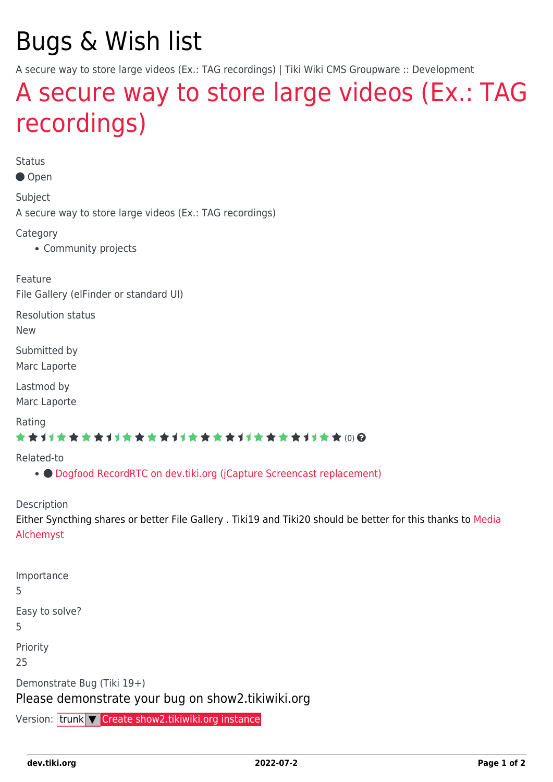# Bugs & Wish list

A secure way to store large videos (Ex.: TAG recordings) | Tiki Wiki CMS Groupware :: Development

## [A secure way to store large videos \(Ex.: TAG](https://dev.tiki.org/item6876-A-secure-way-to-store-large-videos-Ex-TAG-recordings) [recordings\)](https://dev.tiki.org/item6876-A-secure-way-to-store-large-videos-Ex-TAG-recordings)

Status

● Open

Subject

A secure way to store large videos (Ex.: TAG recordings)

Category

• Community projects

Feature File Gallery (elFinder or standard UI)

Resolution status

New

Submitted by Marc Laporte

Lastmod by Marc Laporte

Rating

#### \*\*\*\*\*\*\*\*\*\*\*\*\*\*\*\*\*\*\*\*\*\*\*\*\*\*\*\*\*\*

Related-to

● [Dogfood RecordRTC on dev.tiki.org \(jCapture Screencast replacement\)](https://dev.tiki.org/item7996-Dogfood-RecordRTC-on-dev-tiki-org-jCapture-Screencast-replacement)

Description

Either Syncthing shares or better File Gallery . Tiki19 and Tiki20 should be better for this thanks to [Media](http://doc.tiki.org/Media%20Alchemyst) [Alchemyst](http://doc.tiki.org/Media%20Alchemyst)

| Importance<br>5                                                                 |
|---------------------------------------------------------------------------------|
| Easy to solve?<br>5.                                                            |
| Priority<br>25                                                                  |
| Demonstrate Bug (Tiki 19+)<br>Please demonstrate your bug on show2.tikiwiki.org |

Version: trunk ▼ [Create show2.tikiwiki.org instance](#page--1-0)